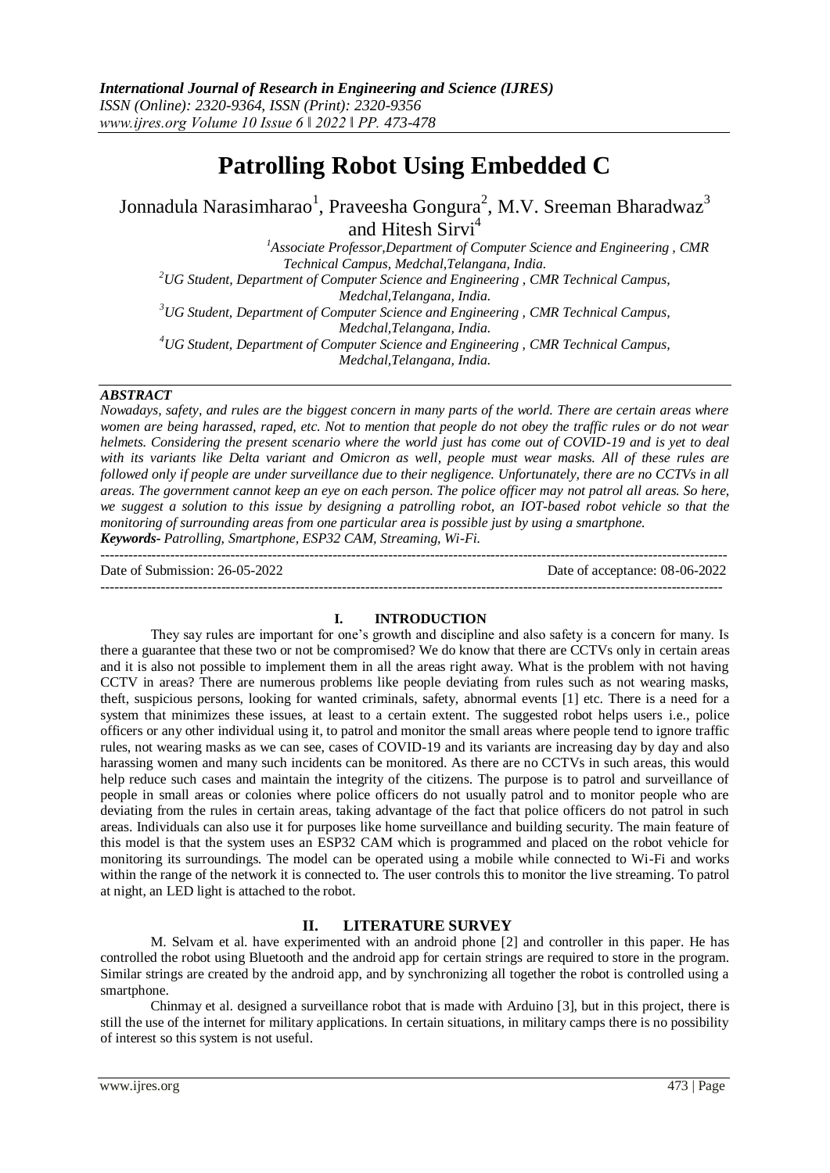# **Patrolling Robot Using Embedded C**

Jonnadula Narasimharao $^1$ , Praveesha Gongura $^2$ , M.V. Sreeman Bharadwaz $^3$ and Hitesh Sirvi<sup>4</sup>

*<sup>1</sup>Associate Professor,Department of Computer Science and Engineering , CMR Technical Campus, Medchal,Telangana, India. <sup>2</sup>UG Student, Department of Computer Science and Engineering , CMR Technical Campus, Medchal,Telangana, India. <sup>3</sup>UG Student, Department of Computer Science and Engineering , CMR Technical Campus, Medchal,Telangana, India. <sup>4</sup>UG Student, Department of Computer Science and Engineering , CMR Technical Campus, Medchal,Telangana, India.*

#### *ABSTRACT*

*Nowadays, safety, and rules are the biggest concern in many parts of the world. There are certain areas where women are being harassed, raped, etc. Not to mention that people do not obey the traffic rules or do not wear helmets. Considering the present scenario where the world just has come out of COVID-19 and is yet to deal with its variants like Delta variant and Omicron as well, people must wear masks. All of these rules are followed only if people are under surveillance due to their negligence. Unfortunately, there are no CCTVs in all areas. The government cannot keep an eye on each person. The police officer may not patrol all areas. So here, we suggest a solution to this issue by designing a patrolling robot, an IOT-based robot vehicle so that the monitoring of surrounding areas from one particular area is possible just by using a smartphone. Keywords- Patrolling, Smartphone, ESP32 CAM, Streaming, Wi-Fi.*

---------------------------------------------------------------------------------------------------------------------------------------

Date of Submission: 26-05-2022 Date of acceptance: 08-06-2022

--------------------------------------------------------------------------------------------------------------------------------------

#### **I. INTRODUCTION**

They say rules are important for one's growth and discipline and also safety is a concern for many. Is there a guarantee that these two or not be compromised? We do know that there are CCTVs only in certain areas and it is also not possible to implement them in all the areas right away. What is the problem with not having CCTV in areas? There are numerous problems like people deviating from rules such as not wearing masks, theft, suspicious persons, looking for wanted criminals, safety, abnormal events [1] etc. There is a need for a system that minimizes these issues, at least to a certain extent. The suggested robot helps users i.e., police officers or any other individual using it, to patrol and monitor the small areas where people tend to ignore traffic rules, not wearing masks as we can see, cases of COVID-19 and its variants are increasing day by day and also harassing women and many such incidents can be monitored. As there are no CCTVs in such areas, this would help reduce such cases and maintain the integrity of the citizens. The purpose is to patrol and surveillance of people in small areas or colonies where police officers do not usually patrol and to monitor people who are deviating from the rules in certain areas, taking advantage of the fact that police officers do not patrol in such areas. Individuals can also use it for purposes like home surveillance and building security. The main feature of this model is that the system uses an ESP32 CAM which is programmed and placed on the robot vehicle for monitoring its surroundings. The model can be operated using a mobile while connected to Wi-Fi and works within the range of the network it is connected to. The user controls this to monitor the live streaming. To patrol at night, an LED light is attached to the robot.

# **II. LITERATURE SURVEY**

M. Selvam et al. have experimented with an android phone [2] and controller in this paper. He has controlled the robot using Bluetooth and the android app for certain strings are required to store in the program. Similar strings are created by the android app, and by synchronizing all together the robot is controlled using a smartphone.

Chinmay et al. designed a surveillance robot that is made with Arduino [3], but in this project, there is still the use of the internet for military applications. In certain situations, in military camps there is no possibility of interest so this system is not useful.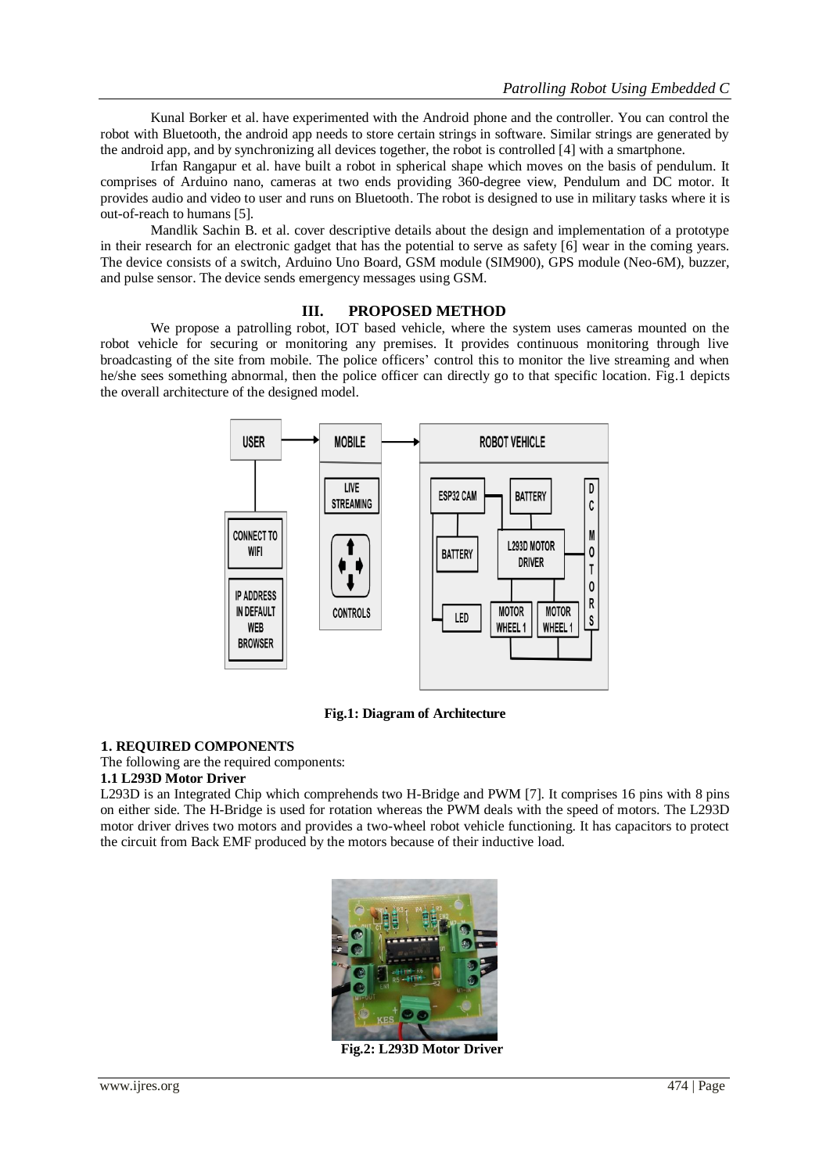Kunal Borker et al. have experimented with the Android phone and the controller. You can control the robot with Bluetooth, the android app needs to store certain strings in software. Similar strings are generated by the android app, and by synchronizing all devices together, the robot is controlled [4] with a smartphone.

Irfan Rangapur et al. have built a robot in spherical shape which moves on the basis of pendulum. It comprises of Arduino nano, cameras at two ends providing 360-degree view, Pendulum and DC motor. It provides audio and video to user and runs on Bluetooth. The robot is designed to use in military tasks where it is out-of-reach to humans [5].

Mandlik Sachin B. et al. cover descriptive details about the design and implementation of a prototype in their research for an electronic gadget that has the potential to serve as safety [6] wear in the coming years. The device consists of a switch, Arduino Uno Board, GSM module (SIM900), GPS module (Neo-6M), buzzer, and pulse sensor. The device sends emergency messages using GSM.

#### **III. PROPOSED METHOD**

We propose a patrolling robot, IOT based vehicle, where the system uses cameras mounted on the robot vehicle for securing or monitoring any premises. It provides continuous monitoring through live broadcasting of the site from mobile. The police officers' control this to monitor the live streaming and when he/she sees something abnormal, then the police officer can directly go to that specific location. Fig.1 depicts the overall architecture of the designed model.



**Fig.1: Diagram of Architecture**

#### **1. REQUIRED COMPONENTS**

The following are the required components:

#### **1.1 L293D Motor Driver**

L293D is an Integrated Chip which comprehends two H-Bridge and PWM [7]. It comprises 16 pins with 8 pins on either side. The H-Bridge is used for rotation whereas the PWM deals with the speed of motors. The L293D motor driver drives two motors and provides a two-wheel robot vehicle functioning. It has capacitors to protect the circuit from Back EMF produced by the motors because of their inductive load.



**Fig.2: L293D Motor Driver**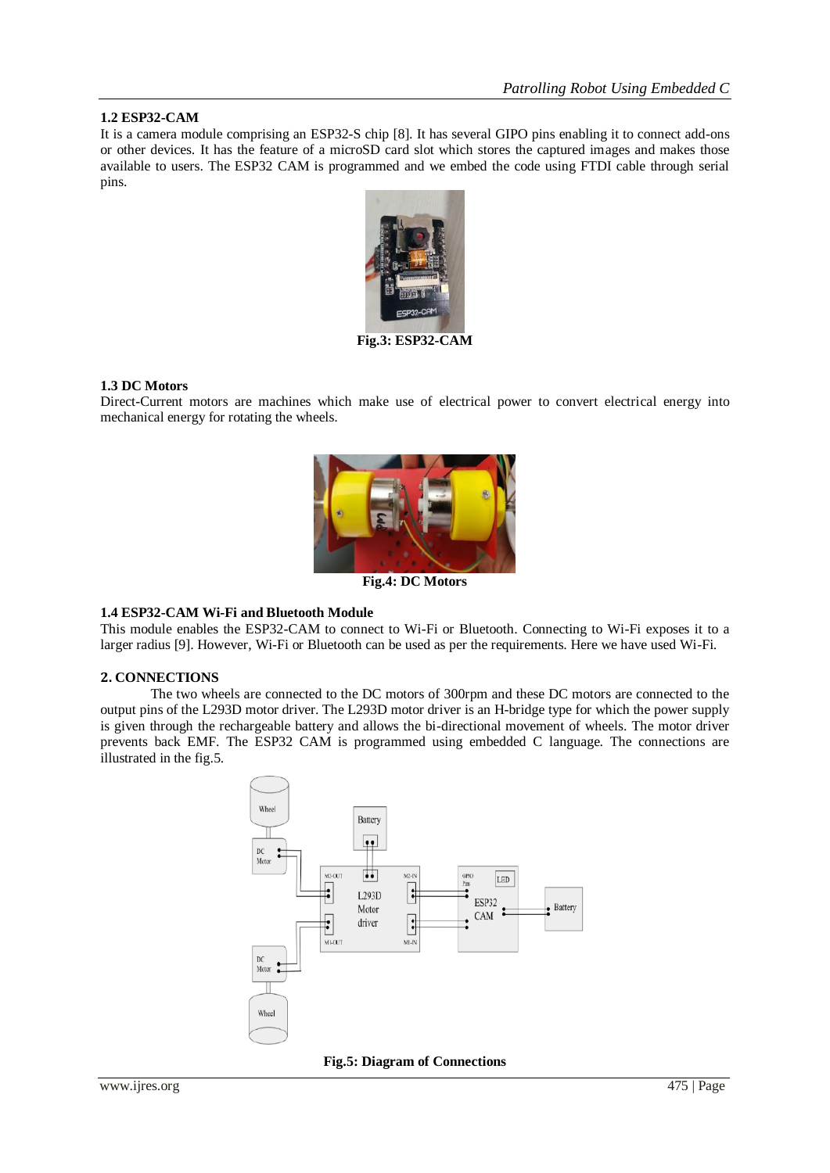#### **1.2 ESP32-CAM**

It is a camera module comprising an ESP32-S chip [8]. It has several GIPO pins enabling it to connect add-ons or other devices. It has the feature of a microSD card slot which stores the captured images and makes those available to users. The ESP32 CAM is programmed and we embed the code using FTDI cable through serial pins.



**Fig.3: ESP32-CAM**

#### **1.3 DC Motors**

Direct-Current motors are machines which make use of electrical power to convert electrical energy into mechanical energy for rotating the wheels.



**Fig.4: DC Motors**

#### **1.4 ESP32-CAM Wi-Fi and Bluetooth Module**

This module enables the ESP32-CAM to connect to Wi-Fi or Bluetooth. Connecting to Wi-Fi exposes it to a larger radius [9]. However, Wi-Fi or Bluetooth can be used as per the requirements. Here we have used Wi-Fi.

#### **2. CONNECTIONS**

The two wheels are connected to the DC motors of 300rpm and these DC motors are connected to the output pins of the L293D motor driver. The L293D motor driver is an H-bridge type for which the power supply is given through the rechargeable battery and allows the bi-directional movement of wheels. The motor driver prevents back EMF. The ESP32 CAM is programmed using embedded C language. The connections are illustrated in the fig.5.



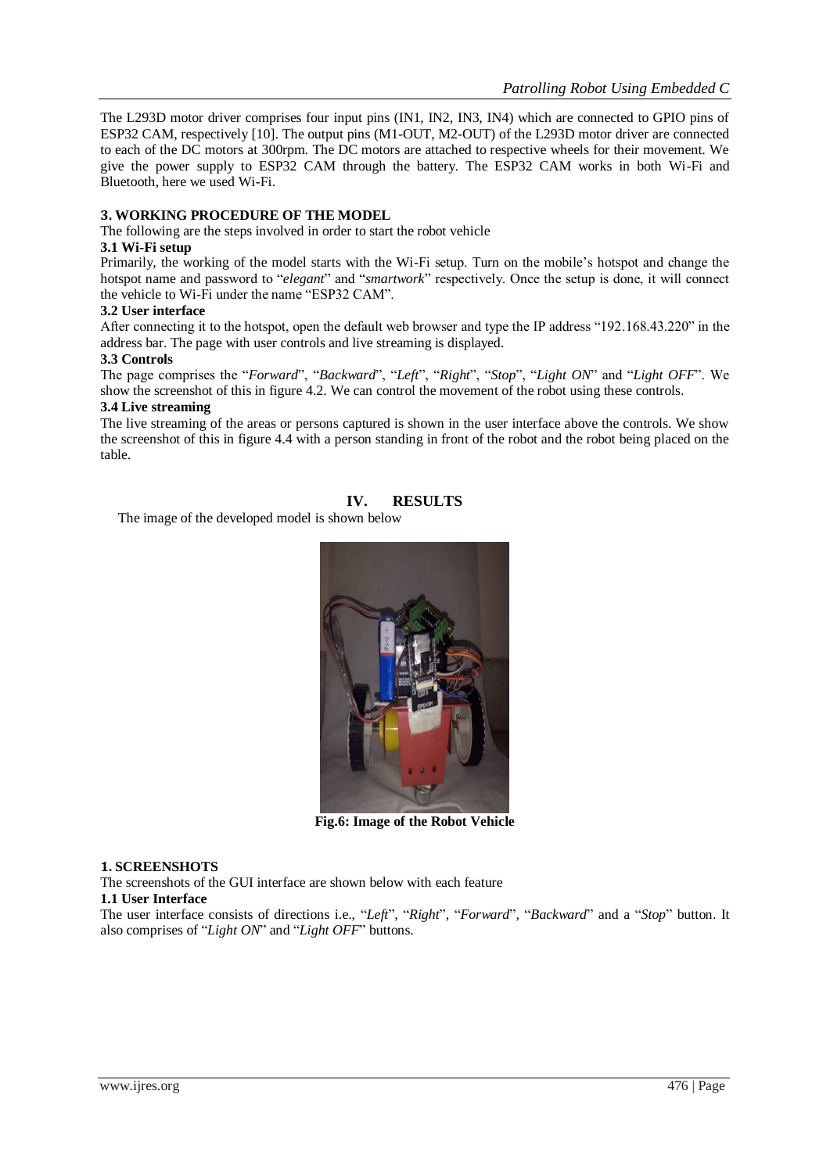The L293D motor driver comprises four input pins (IN1, IN2, IN3, IN4) which are connected to GPIO pins of ESP32 CAM, respectively [10]. The output pins (M1-OUT, M2-OUT) of the L293D motor driver are connected to each of the DC motors at 300rpm. The DC motors are attached to respective wheels for their movement. We give the power supply to ESP32 CAM through the battery. The ESP32 CAM works in both Wi-Fi and Bluetooth, here we used Wi-Fi.

### **3. WORKING PROCEDURE OF THE MODEL**

The following are the steps involved in order to start the robot vehicle

#### **3.1 Wi-Fi setup**

Primarily, the working of the model starts with the Wi-Fi setup. Turn on the mobile's hotspot and change the hotspot name and password to "*elegant*" and "*smartwork*" respectively. Once the setup is done, it will connect the vehicle to Wi-Fi under the name "ESP32 CAM".

#### **3.2 User interface**

After connecting it to the hotspot, open the default web browser and type the IP address "192.168.43.220" in the address bar. The page with user controls and live streaming is displayed.

#### **3.3 Controls**

The page comprises the "*Forward*", "*Backward*", "*Left*", "*Right*", "*Stop*", "*Light ON*" and "*Light OFF*". We show the screenshot of this in figure 4.2. We can control the movement of the robot using these controls.

#### **3.4 Live streaming**

The live streaming of the areas or persons captured is shown in the user interface above the controls. We show the screenshot of this in figure 4.4 with a person standing in front of the robot and the robot being placed on the table.

#### **IV. RESULTS**

The image of the developed model is shown below



**Fig.6: Image of the Robot Vehicle**

#### **1. SCREENSHOTS**

The screenshots of the GUI interface are shown below with each feature

# **1.1 User Interface**

The user interface consists of directions i.e., "*Left*", "*Right*", "*Forward*", "*Backward*" and a "*Stop*" button. It also comprises of "*Light ON*" and "*Light OFF*" buttons.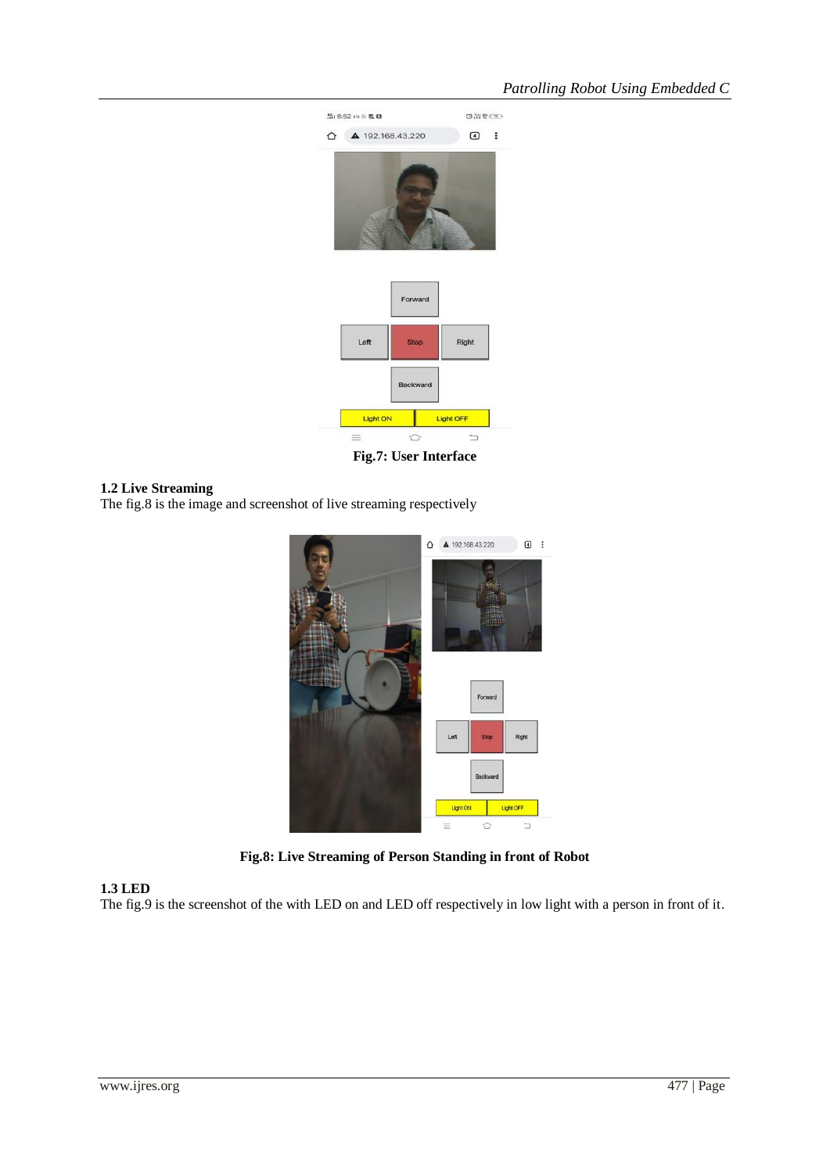

**Fig.7: User Interface**

#### **1.2 Live Streaming**

The fig.8 is the image and screenshot of live streaming respectively



**Fig.8: Live Streaming of Person Standing in front of Robot**

# **1.3 LED**

The fig.9 is the screenshot of the with LED on and LED off respectively in low light with a person in front of it.